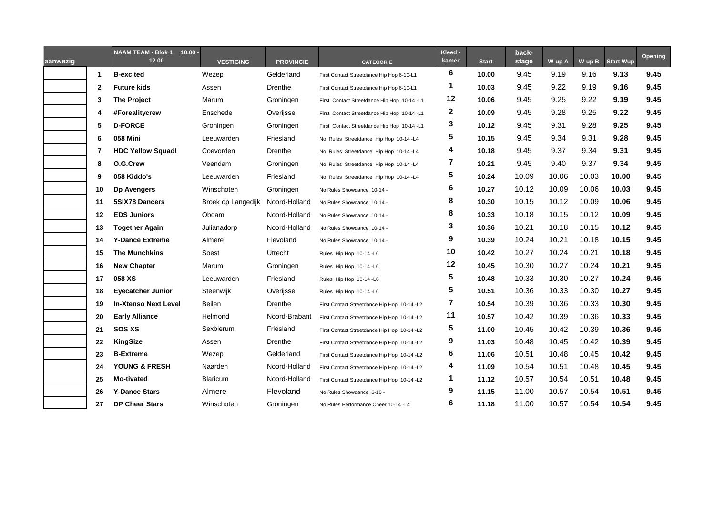| aanwezig |    | <b>NAAM TEAM - Blok 1</b><br>$10.00 -$<br>12.00 | <b>VESTIGING</b>   | <b>PROVINCIE</b> | <b>CATEGORIE</b>                            | Kleed -<br>kamer | <b>Start</b> | back-<br>stage | W-up A | $W-up B$ | <b>Start Wup</b> | <b>Opening</b> |
|----------|----|-------------------------------------------------|--------------------|------------------|---------------------------------------------|------------------|--------------|----------------|--------|----------|------------------|----------------|
|          | 1  | <b>B-excited</b>                                | Wezep              | Gelderland       | First Contact Streetdance Hip Hop 6-10-L1   | 6                | 10.00        | 9.45           | 9.19   | 9.16     | 9.13             | 9.45           |
|          | 2  | <b>Future kids</b>                              | Assen              | Drenthe          | First Contact Streetdance Hip Hop 6-10-L1   | 1                | 10.03        | 9.45           | 9.22   | 9.19     | 9.16             | 9.45           |
|          | 3  | <b>The Project</b>                              | Marum              | Groningen        | First Contact Streetdance Hip Hop 10-14 -L1 | 12               | 10.06        | 9.45           | 9.25   | 9.22     | 9.19             | 9.45           |
|          | 4  | #Forealitycrew                                  | Enschede           | Overijssel       | First Contact Streetdance Hip Hop 10-14 -L1 | $\mathbf{2}$     | 10.09        | 9.45           | 9.28   | 9.25     | 9.22             | 9.45           |
|          | 5  | <b>D-FORCE</b>                                  | Groningen          | Groningen        | First Contact Streetdance Hip Hop 10-14 -L1 | 3                | 10.12        | 9.45           | 9.31   | 9.28     | 9.25             | 9.45           |
|          | 6  | 058 Mini                                        | Leeuwarden         | Friesland        | No Rules Streetdance Hip Hop 10-14-L4       | 5                | 10.15        | 9.45           | 9.34   | 9.31     | 9.28             | 9.45           |
|          | 7  | <b>HDC Yellow Squad!</b>                        | Coevorden          | Drenthe          | No Rules Streetdance Hip Hop 10-14-L4       | 4                | 10.18        | 9.45           | 9.37   | 9.34     | 9.31             | 9.45           |
|          | 8  | O.G.Crew                                        | Veendam            | Groningen        | No Rules Streetdance Hip Hop 10-14-L4       | 7                | 10.21        | 9.45           | 9.40   | 9.37     | 9.34             | 9.45           |
|          | 9  | 058 Kiddo's                                     | Leeuwarden         | Friesland        | No Rules Streetdance Hip Hop 10-14-L4       | 5                | 10.24        | 10.09          | 10.06  | 10.03    | 10.00            | 9.45           |
|          | 10 | <b>Dp Avengers</b>                              | Winschoten         | Groningen        | No Rules Showdance 10-14 -                  | 6                | 10.27        | 10.12          | 10.09  | 10.06    | 10.03            | 9.45           |
|          | 11 | <b>5SIX78 Dancers</b>                           | Broek op Langedijk | Noord-Holland    | No Rules Showdance 10-14 -                  | 8                | 10.30        | 10.15          | 10.12  | 10.09    | 10.06            | 9.45           |
|          | 12 | <b>EDS Juniors</b>                              | Obdam              | Noord-Holland    | No Rules Showdance 10-14 -                  | 8                | 10.33        | 10.18          | 10.15  | 10.12    | 10.09            | 9.45           |
|          | 13 | <b>Together Again</b>                           | Julianadorp        | Noord-Holland    | No Rules Showdance 10-14 -                  | 3                | 10.36        | 10.21          | 10.18  | 10.15    | 10.12            | 9.45           |
|          | 14 | <b>Y-Dance Extreme</b>                          | Almere             | Flevoland        | No Rules Showdance 10-14 -                  | 9                | 10.39        | 10.24          | 10.21  | 10.18    | 10.15            | 9.45           |
|          | 15 | <b>The Munchkins</b>                            | Soest              | Utrecht          | Rules Hip Hop 10-14-L6                      | 10               | 10.42        | 10.27          | 10.24  | 10.21    | 10.18            | 9.45           |
|          | 16 | <b>New Chapter</b>                              | Marum              | Groningen        | Rules Hip Hop 10-14-L6                      | 12               | 10.45        | 10.30          | 10.27  | 10.24    | 10.21            | 9.45           |
|          | 17 | 058 XS                                          | Leeuwarden         | Friesland        | Rules Hip Hop 10-14-L6                      | 5                | 10.48        | 10.33          | 10.30  | 10.27    | 10.24            | 9.45           |
|          | 18 | <b>Eyecatcher Junior</b>                        | Steenwijk          | Overijssel       | Rules Hip Hop 10-14-L6                      | 5                | 10.51        | 10.36          | 10.33  | 10.30    | 10.27            | 9.45           |
|          | 19 | <b>In-Xtenso Next Level</b>                     | <b>Beilen</b>      | Drenthe          | First Contact Streetdance Hip Hop 10-14 -L2 | 7                | 10.54        | 10.39          | 10.36  | 10.33    | 10.30            | 9.45           |
|          | 20 | <b>Early Alliance</b>                           | Helmond            | Noord-Brabant    | First Contact Streetdance Hip Hop 10-14 -L2 | 11               | 10.57        | 10.42          | 10.39  | 10.36    | 10.33            | 9.45           |
|          | 21 | <b>SOS XS</b>                                   | Sexbierum          | Friesland        | First Contact Streetdance Hip Hop 10-14 -L2 | 5                | 11.00        | 10.45          | 10.42  | 10.39    | 10.36            | 9.45           |
|          | 22 | <b>KingSize</b>                                 | Assen              | Drenthe          | First Contact Streetdance Hip Hop 10-14 -L2 | 9                | 11.03        | 10.48          | 10.45  | 10.42    | 10.39            | 9.45           |
|          | 23 | <b>B-Extreme</b>                                | Wezep              | Gelderland       | First Contact Streetdance Hip Hop 10-14 -L2 | 6                | 11.06        | 10.51          | 10.48  | 10.45    | 10.42            | 9.45           |
|          | 24 | <b>YOUNG &amp; FRESH</b>                        | Naarden            | Noord-Holland    | First Contact Streetdance Hip Hop 10-14 -L2 | 4                | 11.09        | 10.54          | 10.51  | 10.48    | 10.45            | 9.45           |
|          | 25 | Mo-tivated                                      | Blaricum           | Noord-Holland    | First Contact Streetdance Hip Hop 10-14 -L2 | 1                | 11.12        | 10.57          | 10.54  | 10.51    | 10.48            | 9.45           |
|          | 26 | <b>Y-Dance Stars</b>                            | Almere             | Flevoland        | No Rules Showdance 6-10 -                   | 9                | 11.15        | 11.00          | 10.57  | 10.54    | 10.51            | 9.45           |
|          | 27 | <b>DP Cheer Stars</b>                           | Winschoten         | Groningen        | No Rules Performance Cheer 10-14 -L4        | 6                | 11.18        | 11.00          | 10.57  | 10.54    | 10.54            | 9.45           |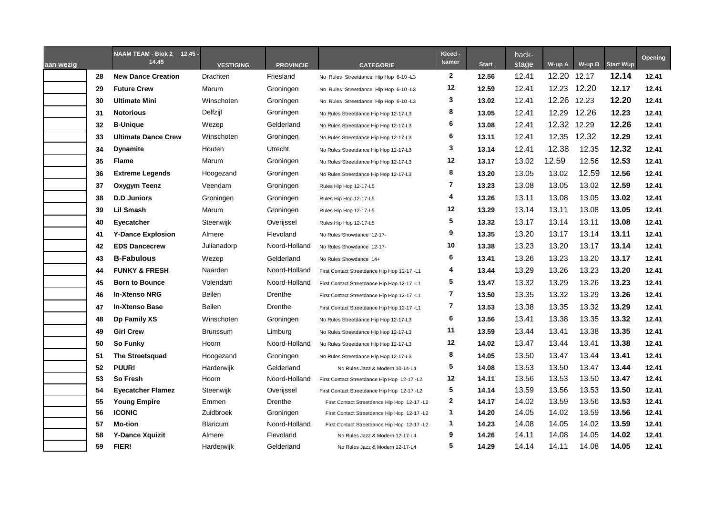| aan wezig |    | NAAM TEAM - Blok 2 12.45 -<br>14.45 | <b>VESTIGING</b> | <b>PROVINCIE</b> | <b>CATEGORIE</b>                            | Kleed -<br>kamer | <b>Start</b> | back-<br>stage | W-up A      | $W-up B$ | <b>Start Wup</b> | <b>Opening</b> |
|-----------|----|-------------------------------------|------------------|------------------|---------------------------------------------|------------------|--------------|----------------|-------------|----------|------------------|----------------|
|           | 28 | <b>New Dance Creation</b>           | Drachten         | Friesland        | No Rules Streetdance Hip Hop 6-10 -L3       | $\mathbf{2}$     | 12.56        | 12.41          | 12.20       | 12.17    | 12.14            | 12.41          |
|           | 29 | <b>Future Crew</b>                  | Marum            | Groningen        | No Rules Streetdance Hip Hop 6-10-L3        | 12               | 12.59        | 12.41          | 12.23       | 12.20    | 12.17            | 12.41          |
|           | 30 | <b>Ultimate Mini</b>                | Winschoten       | Groningen        | No Rules Streetdance Hip Hop 6-10 -L3       | 3                | 13.02        | 12.41          | 12.26 12.23 |          | 12.20            | 12.41          |
|           | 31 | <b>Notorious</b>                    | Delfzijl         | Groningen        | No Rules Streetdance Hip Hop 12-17-L3       | 8                | 13.05        | 12.41          | 12.29       | 12.26    | 12.23            | 12.41          |
|           | 32 | <b>B-Unique</b>                     | Wezep            | Gelderland       | No Rules Streetdance Hip Hop 12-17-L3       | 6                | 13.08        | 12.41          | 12.32       | 12.29    | 12.26            | 12.41          |
|           | 33 | <b>Ultimate Dance Crew</b>          | Winschoten       | Groningen        | No Rules Streetdance Hip Hop 12-17-L3       | 6                | 13.11        | 12.41          | 12.35       | 12.32    | 12.29            | 12.41          |
|           | 34 | <b>Dynamite</b>                     | Houten           | Utrecht          | No Rules Streetdance Hip Hop 12-17-L3       | 3                | 13.14        | 12.41          | 12.38       | 12.35    | 12.32            | 12.41          |
|           | 35 | <b>Flame</b>                        | Marum            | Groningen        | No Rules Streetdance Hip Hop 12-17-L3       | 12               | 13.17        | 13.02          | 12.59       | 12.56    | 12.53            | 12.41          |
|           | 36 | <b>Extreme Legends</b>              | Hoogezand        | Groningen        | No Rules Streetdance Hip Hop 12-17-L3       | 8                | 13.20        | 13.05          | 13.02       | 12.59    | 12.56            | 12.41          |
|           | 37 | Oxygym Teenz                        | Veendam          | Groningen        | Rules Hip Hop 12-17-L5                      | 7                | 13.23        | 13.08          | 13.05       | 13.02    | 12.59            | 12.41          |
|           | 38 | <b>D.D Juniors</b>                  | Groningen        | Groningen        | Rules Hip Hop 12-17-L5                      | 4                | 13.26        | 13.11          | 13.08       | 13.05    | 13.02            | 12.41          |
|           | 39 | <b>Lil Smash</b>                    | Marum            | Groningen        | Rules Hip Hop 12-17-L5                      | 12               | 13.29        | 13.14          | 13.11       | 13.08    | 13.05            | 12.41          |
|           | 40 | Eyecatcher                          | Steenwijk        | Overijssel       | Rules Hip Hop 12-17-L5                      | 5                | 13.32        | 13.17          | 13.14       | 13.11    | 13.08            | 12.41          |
|           | 41 | <b>Y-Dance Explosion</b>            | Almere           | Flevoland        | No Rules Showdance 12-17-                   | 9                | 13.35        | 13.20          | 13.17       | 13.14    | 13.11            | 12.41          |
|           | 42 | <b>EDS Dancecrew</b>                | Julianadorp      | Noord-Holland    | No Rules Showdance 12-17-                   | 10               | 13.38        | 13.23          | 13.20       | 13.17    | 13.14            | 12.41          |
|           | 43 | <b>B-Fabulous</b>                   | Wezep            | Gelderland       | No Rules Showdance 14+                      | 6                | 13.41        | 13.26          | 13.23       | 13.20    | 13.17            | 12.41          |
|           | 44 | <b>FUNKY &amp; FRESH</b>            | Naarden          | Noord-Holland    | First Contact Streetdance Hip Hop 12-17 -L1 | 4                | 13.44        | 13.29          | 13.26       | 13.23    | 13.20            | 12.41          |
|           | 45 | <b>Born to Bounce</b>               | Volendam         | Noord-Holland    | First Contact Streetdance Hip Hop 12-17 -L1 | 5                | 13.47        | 13.32          | 13.29       | 13.26    | 13.23            | 12.41          |
|           | 46 | <b>In-Xtenso NRG</b>                | Beilen           | Drenthe          | First Contact Streetdance Hip Hop 12-17 -L1 | 7                | 13.50        | 13.35          | 13.32       | 13.29    | 13.26            | 12.41          |
|           | 47 | <b>In-Xtenso Base</b>               | Beilen           | Drenthe          | First Contact Streetdance Hip Hop 12-17 -L1 | 7                | 13.53        | 13.38          | 13.35       | 13.32    | 13.29            | 12.41          |
|           | 48 | Dp Family XS                        | Winschoten       | Groningen        | No Rules Streetdance Hip Hop 12-17-L3       | 6                | 13.56        | 13.41          | 13.38       | 13.35    | 13.32            | 12.41          |
|           | 49 | <b>Girl Crew</b>                    | <b>Brunssum</b>  | Limburg          | No Rules Streetdance Hip Hop 12-17-L3       | 11               | 13.59        | 13.44          | 13.41       | 13.38    | 13.35            | 12.41          |
|           | 50 | So Funky                            | Hoorn            | Noord-Holland    | No Rules Streetdance Hip Hop 12-17-L3       | 12               | 14.02        | 13.47          | 13.44       | 13.41    | 13.38            | 12.41          |
|           | 51 | <b>The Streetsquad</b>              | Hoogezand        | Groningen        | No Rules Streetdance Hip Hop 12-17-L3       | 8                | 14.05        | 13.50          | 13.47       | 13.44    | 13.41            | 12.41          |
|           | 52 | <b>PUUR!</b>                        | Harderwijk       | Gelderland       | No Rules Jazz & Modern 10-14-L4             | 5                | 14.08        | 13.53          | 13.50       | 13.47    | 13.44            | 12.41          |
|           | 53 | So Fresh                            | Hoorn            | Noord-Holland    | First Contact Streetdance Hip Hop 12-17 -L2 | 12               | 14.11        | 13.56          | 13.53       | 13.50    | 13.47            | 12.41          |
|           | 54 | <b>Eyecatcher Flamez</b>            | Steenwijk        | Overijssel       | First Contact Streetdance Hip Hop 12-17 -L2 | 5                | 14.14        | 13.59          | 13.56       | 13.53    | 13.50            | 12.41          |
|           | 55 | <b>Young Empire</b>                 | Emmen            | Drenthe          | First Contact Streetdance Hip Hop 12-17 -L2 | 2                | 14.17        | 14.02          | 13.59       | 13.56    | 13.53            | 12.41          |
|           | 56 | <b>ICONIC</b>                       | Zuidbroek        | Groningen        | First Contact Streetdance Hip Hop 12-17 -L2 | 1                | 14.20        | 14.05          | 14.02       | 13.59    | 13.56            | 12.41          |
|           | 57 | <b>Mo-tion</b>                      | Blaricum         | Noord-Holland    | First Contact Streetdance Hip Hop 12-17 -L2 | 1                | 14.23        | 14.08          | 14.05       | 14.02    | 13.59            | 12.41          |
|           | 58 | <b>Y-Dance Xquizit</b>              | Almere           | Flevoland        | No Rules Jazz & Modern 12-17-L4             | 9                | 14.26        | 14.11          | 14.08       | 14.05    | 14.02            | 12.41          |
|           | 59 | FIER!                               | Harderwijk       | Gelderland       | No Rules Jazz & Modern 12-17-L4             | 5                | 14.29        | 14.14          | 14.11       | 14.08    | 14.05            | 12.41          |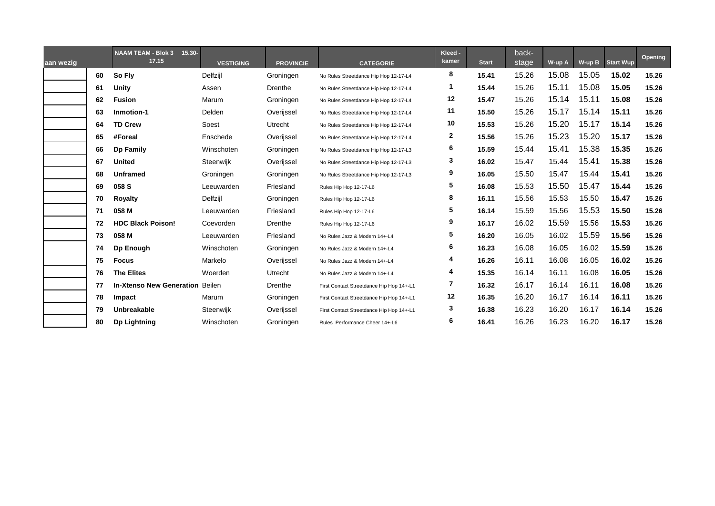| aan wezig |    | <b>NAAM TEAM - Blok 3</b><br>$15.30 -$<br>17.15 | <b>VESTIGING</b> | <b>PROVINCIE</b> | <b>CATEGORIE</b>                         | Kleed -<br>kamer | <b>Start</b> | back-<br>stage | W-up A | W-up B | <b>Start Wup</b> | Opening |
|-----------|----|-------------------------------------------------|------------------|------------------|------------------------------------------|------------------|--------------|----------------|--------|--------|------------------|---------|
|           | 60 | So Fly                                          | Delfzijl         | Groningen        | No Rules Streetdance Hip Hop 12-17-L4    | 8                | 15.41        | 15.26          | 15.08  | 15.05  | 15.02            | 15.26   |
|           | 61 | Unity                                           | Assen            | Drenthe          | No Rules Streetdance Hip Hop 12-17-L4    |                  | 15.44        | 15.26          | 15.11  | 15.08  | 15.05            | 15.26   |
|           | 62 | <b>Fusion</b>                                   | Marum            | Groningen        | No Rules Streetdance Hip Hop 12-17-L4    | 12               | 15.47        | 15.26          | 15.14  | 15.11  | 15.08            | 15.26   |
|           | 63 | Inmotion-1                                      | Delden           | Overijssel       | No Rules Streetdance Hip Hop 12-17-L4    | 11               | 15.50        | 15.26          | 15.17  | 15.14  | 15.11            | 15.26   |
|           | 64 | <b>TD Crew</b>                                  | Soest            | Utrecht          | No Rules Streetdance Hip Hop 12-17-L4    | 10               | 15.53        | 15.26          | 15.20  | 15.17  | 15.14            | 15.26   |
|           | 65 | #Foreal                                         | Enschede         | Overijssel       | No Rules Streetdance Hip Hop 12-17-L4    | 2                | 15.56        | 15.26          | 15.23  | 15.20  | 15.17            | 15.26   |
|           | 66 | <b>Dp Family</b>                                | Winschoten       | Groningen        | No Rules Streetdance Hip Hop 12-17-L3    | 6                | 15.59        | 15.44          | 15.41  | 15.38  | 15.35            | 15.26   |
|           | 67 | <b>United</b>                                   | Steenwijk        | Overijssel       | No Rules Streetdance Hip Hop 12-17-L3    | 3                | 16.02        | 15.47          | 15.44  | 15.41  | 15.38            | 15.26   |
|           | 68 | <b>Unframed</b>                                 | Groningen        | Groningen        | No Rules Streetdance Hip Hop 12-17-L3    | 9                | 16.05        | 15.50          | 15.47  | 15.44  | 15.41            | 15.26   |
|           | 69 | 058 S                                           | Leeuwarden       | Friesland        | Rules Hip Hop 12-17-L6                   | 5                | 16.08        | 15.53          | 15.50  | 15.47  | 15.44            | 15.26   |
|           | 70 | <b>Royalty</b>                                  | Delfzijl         | Groningen        | Rules Hip Hop 12-17-L6                   | 8                | 16.11        | 15.56          | 15.53  | 15.50  | 15.47            | 15.26   |
|           | 71 | 058 M                                           | Leeuwarden       | Friesland        | Rules Hip Hop 12-17-L6                   | 5                | 16.14        | 15.59          | 15.56  | 15.53  | 15.50            | 15.26   |
|           | 72 | <b>HDC Black Poison!</b>                        | Coevorden        | Drenthe          | Rules Hip Hop 12-17-L6                   | 9                | 16.17        | 16.02          | 15.59  | 15.56  | 15.53            | 15.26   |
|           | 73 | 058 M                                           | Leeuwarden       | Friesland        | No Rules Jazz & Modern 14+-L4            | 5                | 16.20        | 16.05          | 16.02  | 15.59  | 15.56            | 15.26   |
|           | 74 | Dp Enough                                       | Winschoten       | Groningen        | No Rules Jazz & Modern 14+-L4            | 6                | 16.23        | 16.08          | 16.05  | 16.02  | 15.59            | 15.26   |
|           | 75 | <b>Focus</b>                                    | Markelo          | Overijssel       | No Rules Jazz & Modern 14+-L4            | 4                | 16.26        | 16.11          | 16.08  | 16.05  | 16.02            | 15.26   |
|           | 76 | <b>The Elites</b>                               | Woerden          | Utrecht          | No Rules Jazz & Modern 14+-L4            | 4                | 15.35        | 16.14          | 16.11  | 16.08  | 16.05            | 15.26   |
|           | 77 | <b>In-Xtenso New Generation Beilen</b>          |                  | Drenthe          | First Contact Streetdance Hip Hop 14+-L1 | 7                | 16.32        | 16.17          | 16.14  | 16.11  | 16.08            | 15.26   |
|           | 78 | Impact                                          | Marum            | Groningen        | First Contact Streetdance Hip Hop 14+-L1 | 12               | 16.35        | 16.20          | 16.17  | 16.14  | 16.11            | 15.26   |
|           | 79 | Unbreakable                                     | Steenwijk        | Overijssel       | First Contact Streetdance Hip Hop 14+-L1 | 3                | 16.38        | 16.23          | 16.20  | 16.17  | 16.14            | 15.26   |
|           | 80 | <b>Dp Lightning</b>                             | Winschoten       | Groningen        | Rules Performance Cheer 14+-L6           | 6                | 16.41        | 16.26          | 16.23  | 16.20  | 16.17            | 15.26   |